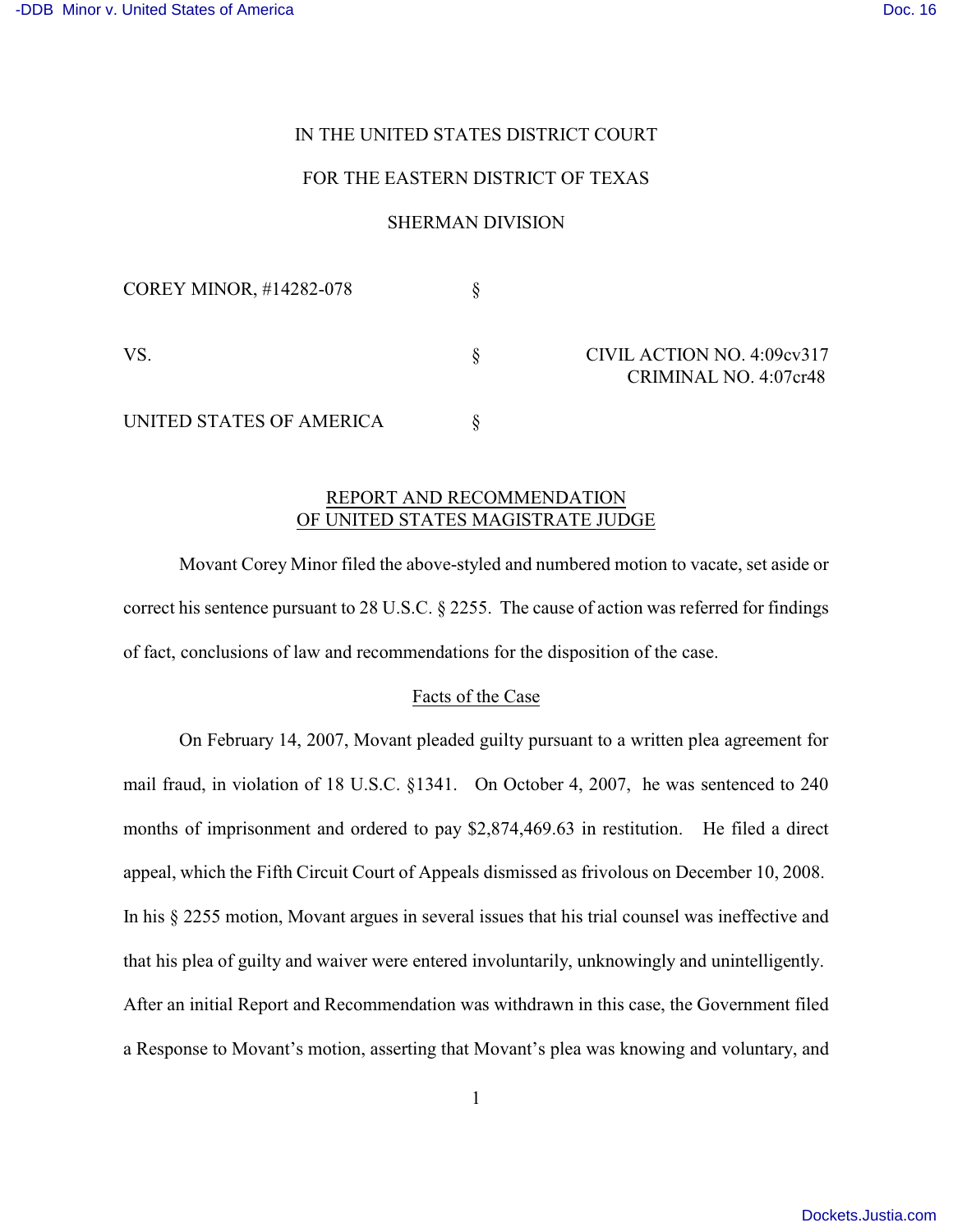# IN THE UNITED STATES DISTRICT COURT

# FOR THE EASTERN DISTRICT OF TEXAS

# SHERMAN DIVISION

| COREY MINOR, #14282-078  |                                                     |
|--------------------------|-----------------------------------------------------|
| VS.                      | CIVIL ACTION NO. 4:09cv317<br>CRIMINAL NO. 4:07cr48 |
| UNITED STATES OF AMERICA |                                                     |

## REPORT AND RECOMMENDATION OF UNITED STATES MAGISTRATE JUDGE

Movant Corey Minor filed the above-styled and numbered motion to vacate, set aside or correct his sentence pursuant to 28 U.S.C. § 2255. The cause of action was referred for findings of fact, conclusions of law and recommendations for the disposition of the case.

#### Facts of the Case

On February 14, 2007, Movant pleaded guilty pursuant to a written plea agreement for mail fraud, in violation of 18 U.S.C. §1341. On October 4, 2007, he was sentenced to 240 months of imprisonment and ordered to pay \$2,874,469.63 in restitution. He filed a direct appeal, which the Fifth Circuit Court of Appeals dismissed as frivolous on December 10, 2008. In his § 2255 motion, Movant argues in several issues that his trial counsel was ineffective and that his plea of guilty and waiver were entered involuntarily, unknowingly and unintelligently. After an initial Report and Recommendation was withdrawn in this case, the Government filed a Response to Movant's motion, asserting that Movant's plea was knowing and voluntary, and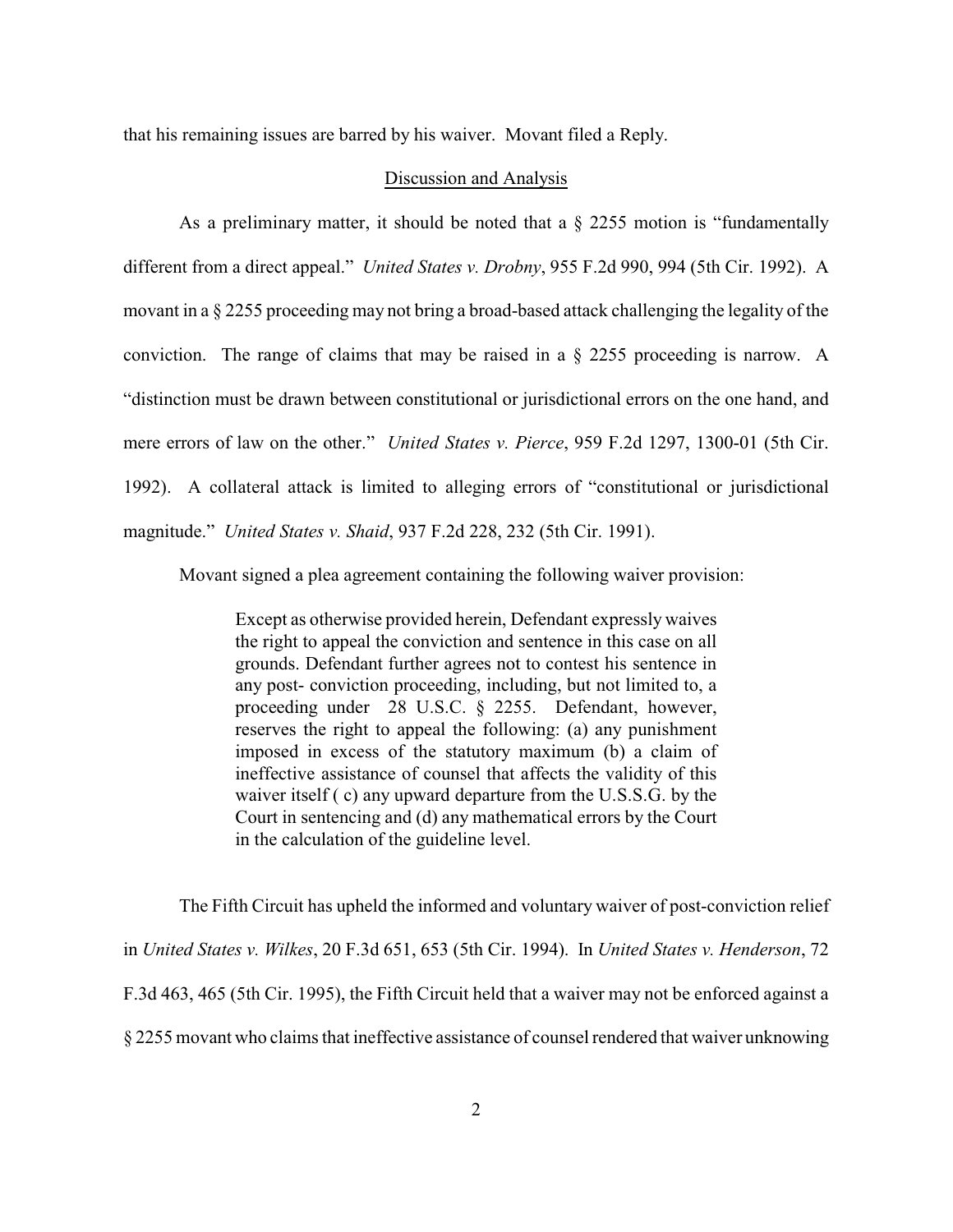that his remaining issues are barred by his waiver. Movant filed a Reply.

### Discussion and Analysis

As a preliminary matter, it should be noted that a  $\S$  2255 motion is "fundamentally different from a direct appeal." *United States v. Drobny*, 955 F.2d 990, 994 (5th Cir. 1992). A movant in a § 2255 proceeding may not bring a broad-based attack challenging the legality of the conviction. The range of claims that may be raised in a § 2255 proceeding is narrow. A "distinction must be drawn between constitutional or jurisdictional errors on the one hand, and mere errors of law on the other." *United States v. Pierce*, 959 F.2d 1297, 1300-01 (5th Cir. 1992). A collateral attack is limited to alleging errors of "constitutional or jurisdictional magnitude." *United States v. Shaid*, 937 F.2d 228, 232 (5th Cir. 1991).

Movant signed a plea agreement containing the following waiver provision:

Except as otherwise provided herein, Defendant expressly waives the right to appeal the conviction and sentence in this case on all grounds. Defendant further agrees not to contest his sentence in any post- conviction proceeding, including, but not limited to, a proceeding under 28 U.S.C. § 2255. Defendant, however, reserves the right to appeal the following: (a) any punishment imposed in excess of the statutory maximum (b) a claim of ineffective assistance of counsel that affects the validity of this waiver itself ( c) any upward departure from the U.S.S.G. by the Court in sentencing and (d) any mathematical errors by the Court in the calculation of the guideline level.

The Fifth Circuit has upheld the informed and voluntary waiver of post-conviction relief in *United States v. Wilkes*, 20 F.3d 651, 653 (5th Cir. 1994). In *United States v. Henderson*, 72 F.3d 463, 465 (5th Cir. 1995), the Fifth Circuit held that a waiver may not be enforced against a § 2255 movant who claims that ineffective assistance of counsel rendered that waiver unknowing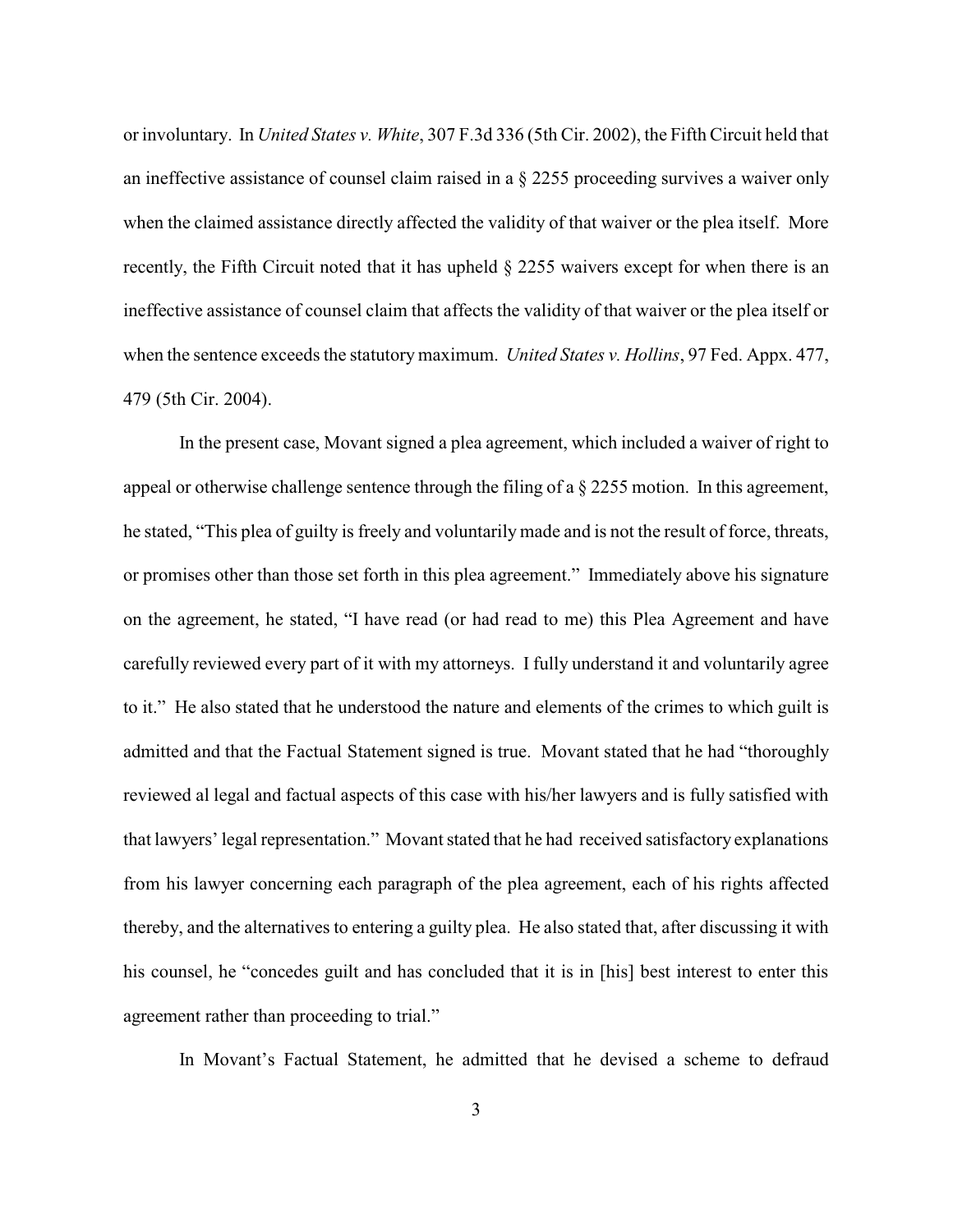or involuntary. In *United States v. White*, 307 F.3d 336 (5th Cir. 2002), the Fifth Circuit held that an ineffective assistance of counsel claim raised in a § 2255 proceeding survives a waiver only when the claimed assistance directly affected the validity of that waiver or the plea itself. More recently, the Fifth Circuit noted that it has upheld § 2255 waivers except for when there is an ineffective assistance of counsel claim that affects the validity of that waiver or the plea itself or when the sentence exceeds the statutory maximum. *United States v. Hollins*, 97 Fed. Appx. 477, 479 (5th Cir. 2004).

In the present case, Movant signed a plea agreement, which included a waiver of right to appeal or otherwise challenge sentence through the filing of a § 2255 motion. In this agreement, he stated, "This plea of guilty is freely and voluntarily made and is not the result of force, threats, or promises other than those set forth in this plea agreement." Immediately above his signature on the agreement, he stated, "I have read (or had read to me) this Plea Agreement and have carefully reviewed every part of it with my attorneys. I fully understand it and voluntarily agree to it." He also stated that he understood the nature and elements of the crimes to which guilt is admitted and that the Factual Statement signed is true. Movant stated that he had "thoroughly reviewed al legal and factual aspects of this case with his/her lawyers and is fully satisfied with that lawyers' legal representation." Movant stated that he had received satisfactory explanations from his lawyer concerning each paragraph of the plea agreement, each of his rights affected thereby, and the alternatives to entering a guilty plea. He also stated that, after discussing it with his counsel, he "concedes guilt and has concluded that it is in [his] best interest to enter this agreement rather than proceeding to trial."

In Movant's Factual Statement, he admitted that he devised a scheme to defraud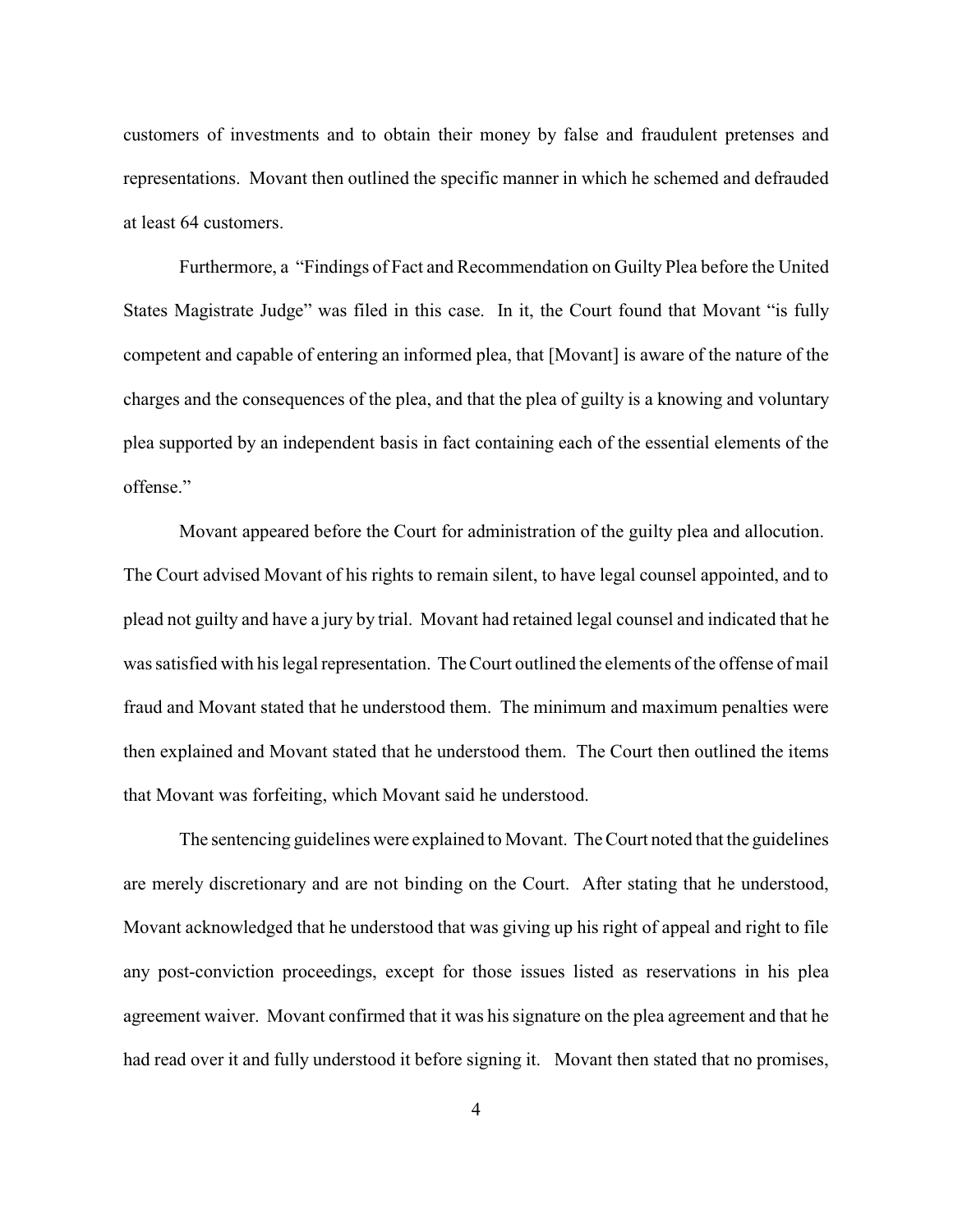customers of investments and to obtain their money by false and fraudulent pretenses and representations. Movant then outlined the specific manner in which he schemed and defrauded at least 64 customers.

Furthermore, a "Findings of Fact and Recommendation on Guilty Plea before the United States Magistrate Judge" was filed in this case. In it, the Court found that Movant "is fully competent and capable of entering an informed plea, that [Movant] is aware of the nature of the charges and the consequences of the plea, and that the plea of guilty is a knowing and voluntary plea supported by an independent basis in fact containing each of the essential elements of the offense."

Movant appeared before the Court for administration of the guilty plea and allocution. The Court advised Movant of his rights to remain silent, to have legal counsel appointed, and to plead not guilty and have a jury by trial. Movant had retained legal counsel and indicated that he was satisfied with his legal representation. The Court outlined the elements of the offense of mail fraud and Movant stated that he understood them. The minimum and maximum penalties were then explained and Movant stated that he understood them. The Court then outlined the items that Movant was forfeiting, which Movant said he understood.

The sentencing guidelines were explained to Movant. The Court noted that the guidelines are merely discretionary and are not binding on the Court. After stating that he understood, Movant acknowledged that he understood that was giving up his right of appeal and right to file any post-conviction proceedings, except for those issues listed as reservations in his plea agreement waiver. Movant confirmed that it was his signature on the plea agreement and that he had read over it and fully understood it before signing it. Movant then stated that no promises,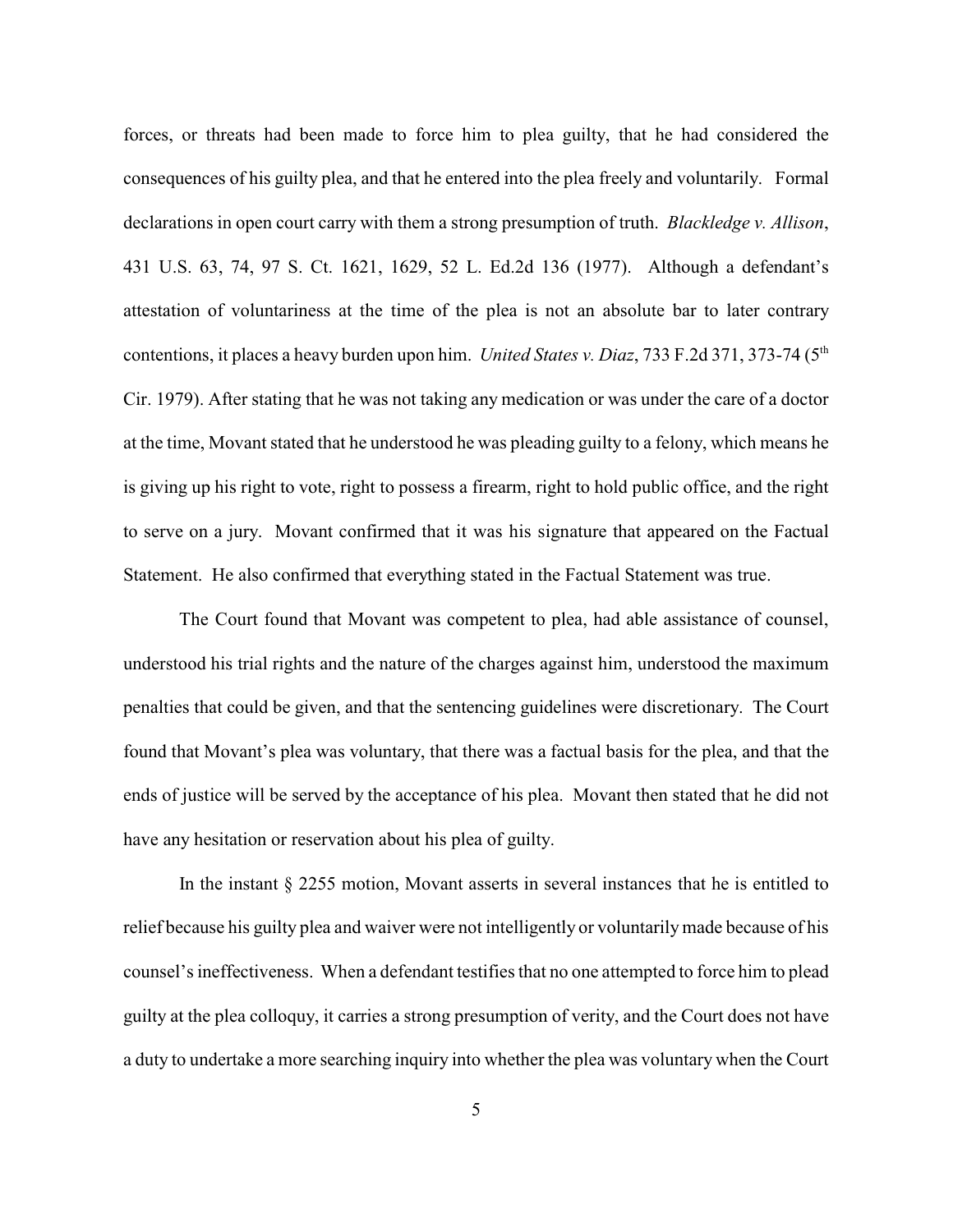forces, or threats had been made to force him to plea guilty, that he had considered the consequences of his guilty plea, and that he entered into the plea freely and voluntarily. Formal declarations in open court carry with them a strong presumption of truth. *Blackledge v. Allison*, 431 U.S. 63, 74, 97 S. Ct. 1621, 1629, 52 L. Ed.2d 136 (1977). Although a defendant's attestation of voluntariness at the time of the plea is not an absolute bar to later contrary contentions, it places a heavy burden upon him. *United States v. Diaz*, 733 F.2d 371, 373-74 (5<sup>th</sup>) Cir. 1979). After stating that he was not taking any medication or was under the care of a doctor at the time, Movant stated that he understood he was pleading guilty to a felony, which means he is giving up his right to vote, right to possess a firearm, right to hold public office, and the right to serve on a jury. Movant confirmed that it was his signature that appeared on the Factual Statement. He also confirmed that everything stated in the Factual Statement was true.

The Court found that Movant was competent to plea, had able assistance of counsel, understood his trial rights and the nature of the charges against him, understood the maximum penalties that could be given, and that the sentencing guidelines were discretionary. The Court found that Movant's plea was voluntary, that there was a factual basis for the plea, and that the ends of justice will be served by the acceptance of his plea. Movant then stated that he did not have any hesitation or reservation about his plea of guilty.

In the instant § 2255 motion, Movant asserts in several instances that he is entitled to relief because his guilty plea and waiver were not intelligently or voluntarilymade because of his counsel's ineffectiveness. When a defendant testifies that no one attempted to force him to plead guilty at the plea colloquy, it carries a strong presumption of verity, and the Court does not have a duty to undertake a more searching inquiry into whether the plea was voluntary when the Court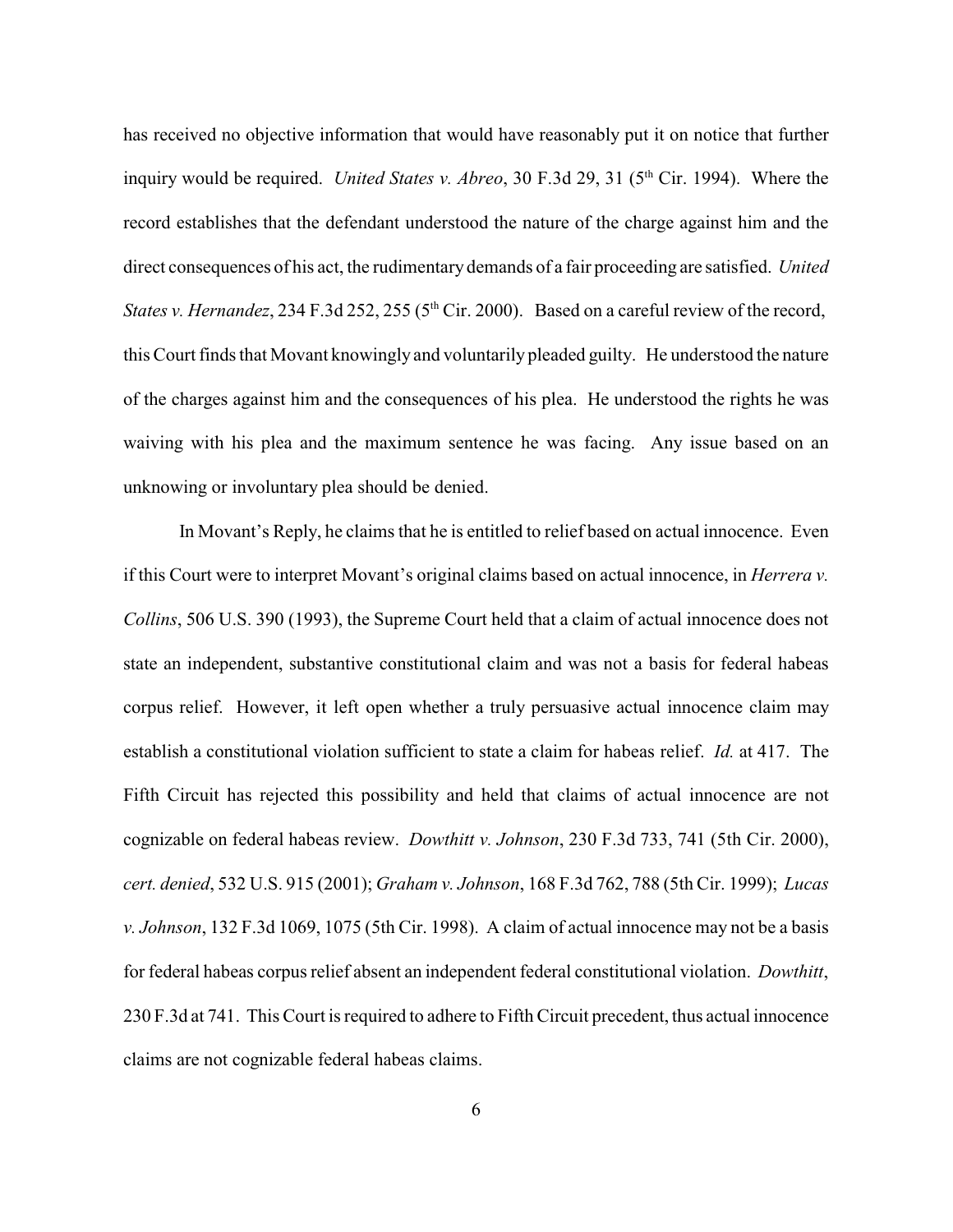has received no objective information that would have reasonably put it on notice that further inquiry would be required. *United States v. Abreo*, 30 F.3d 29, 31 (5<sup>th</sup> Cir. 1994). Where the record establishes that the defendant understood the nature of the charge against him and the direct consequences of his act, the rudimentary demands of a fair proceeding are satisfied. *United States v. Hernandez*, 234 F.3d 252, 255 ( $5<sup>th</sup> Cir. 2000$ ). Based on a careful review of the record, this Court finds that Movant knowingly and voluntarily pleaded guilty. He understood the nature of the charges against him and the consequences of his plea. He understood the rights he was waiving with his plea and the maximum sentence he was facing. Any issue based on an unknowing or involuntary plea should be denied.

In Movant's Reply, he claims that he is entitled to relief based on actual innocence. Even if this Court were to interpret Movant's original claims based on actual innocence, in *Herrera v. Collins*, 506 U.S. 390 (1993), the Supreme Court held that a claim of actual innocence does not state an independent, substantive constitutional claim and was not a basis for federal habeas corpus relief. However, it left open whether a truly persuasive actual innocence claim may establish a constitutional violation sufficient to state a claim for habeas relief. *Id.* at 417. The Fifth Circuit has rejected this possibility and held that claims of actual innocence are not cognizable on federal habeas review. *Dowthitt v. Johnson*, 230 F.3d 733, 741 (5th Cir. 2000), *cert. denied*, 532 U.S. 915 (2001); *Graham v. Johnson*, 168 F.3d 762, 788 (5th Cir. 1999); *Lucas v. Johnson*, 132 F.3d 1069, 1075 (5th Cir. 1998). A claim of actual innocence may not be a basis for federal habeas corpus relief absent an independent federal constitutional violation. *Dowthitt*, 230 F.3d at 741. This Court is required to adhere to Fifth Circuit precedent, thus actual innocence claims are not cognizable federal habeas claims.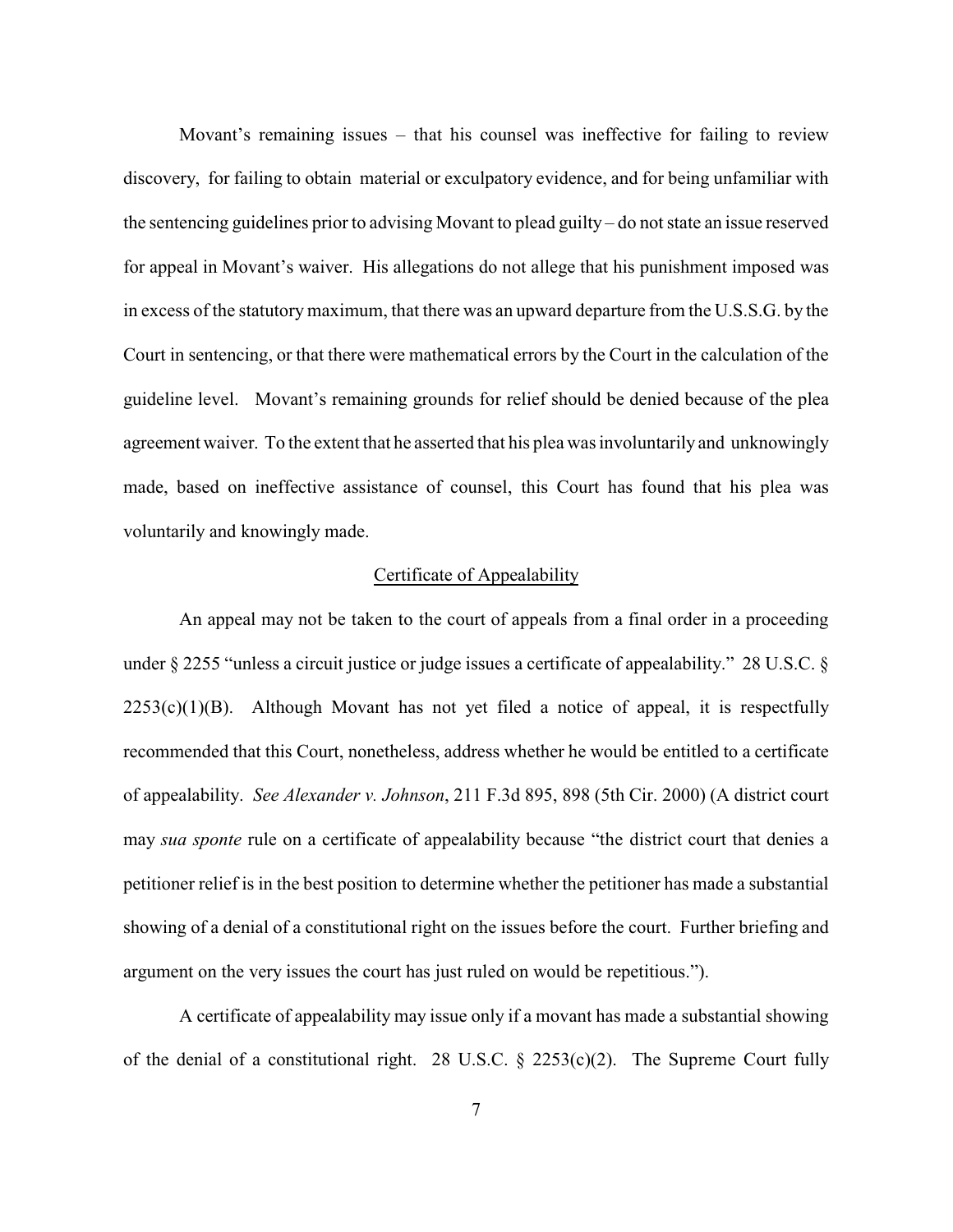Movant's remaining issues – that his counsel was ineffective for failing to review discovery, for failing to obtain material or exculpatory evidence, and for being unfamiliar with the sentencing guidelines prior to advising Movant to plead guilty – do not state an issue reserved for appeal in Movant's waiver. His allegations do not allege that his punishment imposed was in excess of the statutory maximum, that there was an upward departure from the U.S.S.G. by the Court in sentencing, or that there were mathematical errors by the Court in the calculation of the guideline level. Movant's remaining grounds for relief should be denied because of the plea agreement waiver. To the extent that he asserted that his plea was involuntarily and unknowingly made, based on ineffective assistance of counsel, this Court has found that his plea was voluntarily and knowingly made.

#### Certificate of Appealability

An appeal may not be taken to the court of appeals from a final order in a proceeding under § 2255 "unless a circuit justice or judge issues a certificate of appealability." 28 U.S.C. §  $2253(c)(1)(B)$ . Although Movant has not yet filed a notice of appeal, it is respectfully recommended that this Court, nonetheless, address whether he would be entitled to a certificate of appealability. *See Alexander v. Johnson*, 211 F.3d 895, 898 (5th Cir. 2000) (A district court may *sua sponte* rule on a certificate of appealability because "the district court that denies a petitioner relief is in the best position to determine whether the petitioner has made a substantial showing of a denial of a constitutional right on the issues before the court. Further briefing and argument on the very issues the court has just ruled on would be repetitious.").

A certificate of appealability may issue only if a movant has made a substantial showing of the denial of a constitutional right. 28 U.S.C.  $\S$  2253(c)(2). The Supreme Court fully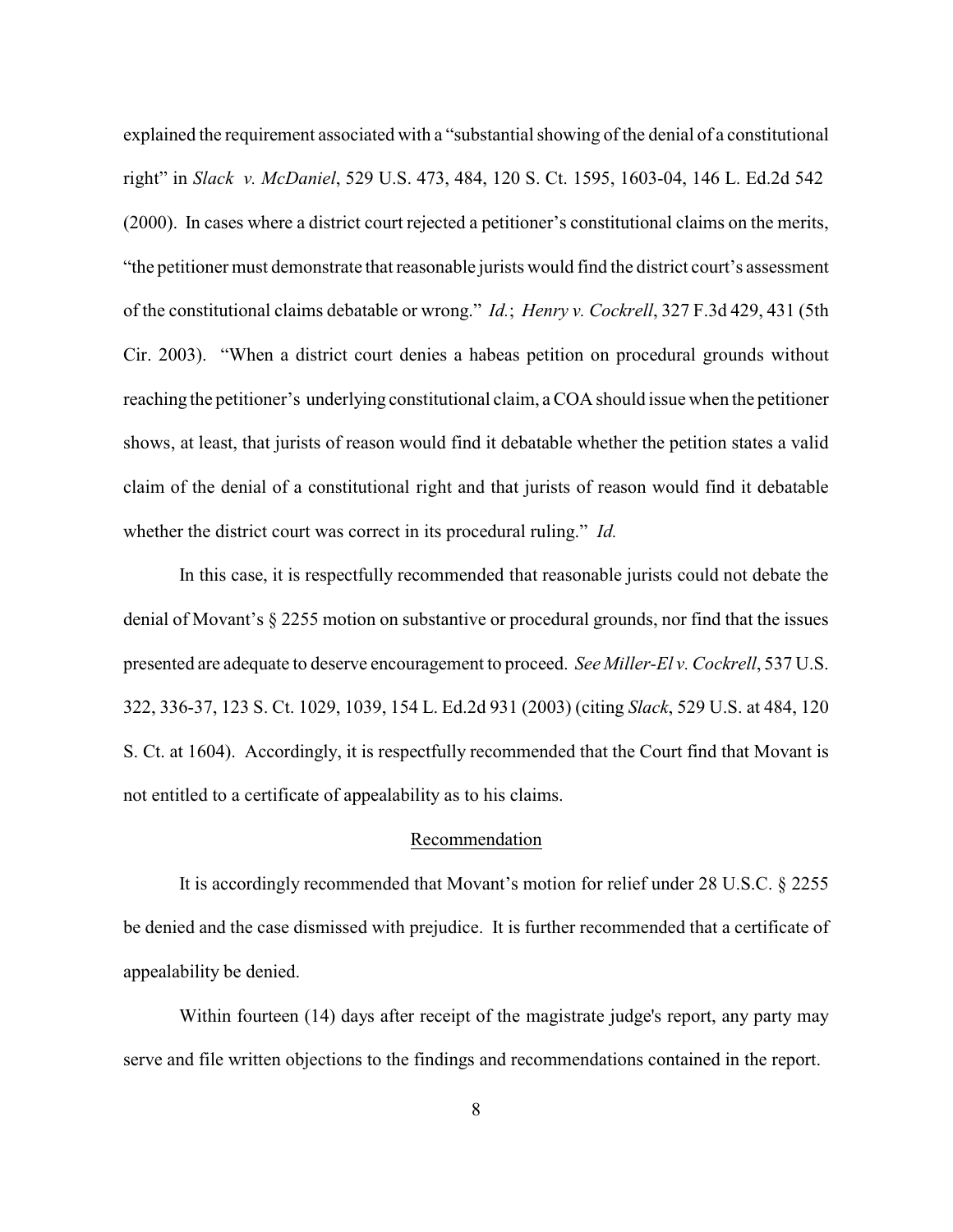explained the requirement associated with a "substantial showing of the denial of a constitutional right" in *Slack v. McDaniel*, 529 U.S. 473, 484, 120 S. Ct. 1595, 1603-04, 146 L. Ed.2d 542 (2000). In cases where a district court rejected a petitioner's constitutional claims on the merits, "the petitioner must demonstrate that reasonable jurists would find the district court's assessment of the constitutional claims debatable or wrong." *Id.*; *Henry v. Cockrell*, 327 F.3d 429, 431 (5th Cir. 2003). "When a district court denies a habeas petition on procedural grounds without reaching the petitioner's underlying constitutional claim, a COA should issue when the petitioner shows, at least, that jurists of reason would find it debatable whether the petition states a valid claim of the denial of a constitutional right and that jurists of reason would find it debatable whether the district court was correct in its procedural ruling." *Id.*

In this case, it is respectfully recommended that reasonable jurists could not debate the denial of Movant's § 2255 motion on substantive or procedural grounds, nor find that the issues presented are adequate to deserve encouragement to proceed. *See Miller-El v. Cockrell*, 537 U.S. 322, 336-37, 123 S. Ct. 1029, 1039, 154 L. Ed.2d 931 (2003) (citing *Slack*, 529 U.S. at 484, 120 S. Ct. at 1604). Accordingly, it is respectfully recommended that the Court find that Movant is not entitled to a certificate of appealability as to his claims.

### Recommendation

It is accordingly recommended that Movant's motion for relief under 28 U.S.C. § 2255 be denied and the case dismissed with prejudice. It is further recommended that a certificate of appealability be denied.

Within fourteen (14) days after receipt of the magistrate judge's report, any party may serve and file written objections to the findings and recommendations contained in the report.